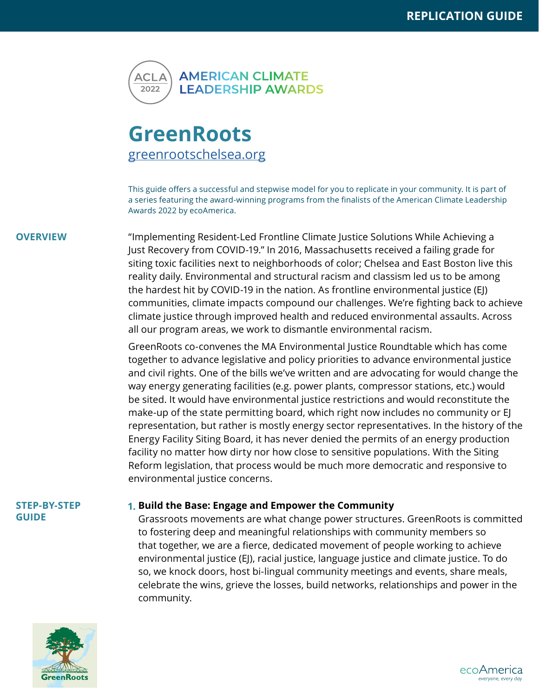

# **GreenRoots** [greenrootschelsea.org](www.greenrootschelsea.org)

This guide offers a successful and stepwise model for you to replicate in your community. It is part of a series featuring the award-winning programs from the finalists of the American Climate Leadership Awards 2022 by ecoAmerica.

**OVERVIEW** "Implementing Resident-Led Frontline Climate Justice Solutions While Achieving a Just Recovery from COVID-19." In 2016, Massachusetts received a failing grade for siting toxic facilities next to neighborhoods of color; Chelsea and East Boston live this reality daily. Environmental and structural racism and classism led us to be among the hardest hit by COVID-19 in the nation. As frontline environmental justice (EJ) communities, climate impacts compound our challenges. We're fighting back to achieve climate justice through improved health and reduced environmental assaults. Across all our program areas, we work to dismantle environmental racism.

> GreenRoots co-convenes the MA Environmental Justice Roundtable which has come together to advance legislative and policy priorities to advance environmental justice and civil rights. One of the bills we've written and are advocating for would change the way energy generating facilities (e.g. power plants, compressor stations, etc.) would be sited. It would have environmental justice restrictions and would reconstitute the make-up of the state permitting board, which right now includes no community or EJ representation, but rather is mostly energy sector representatives. In the history of the Energy Facility Siting Board, it has never denied the permits of an energy production facility no matter how dirty nor how close to sensitive populations. With the Siting Reform legislation, that process would be much more democratic and responsive to environmental justice concerns.

#### **STEP-BY-STEP GUIDE**

# **Build the Base: Engage and Empower the Community 1.**

Grassroots movements are what change power structures. GreenRoots is committed to fostering deep and meaningful relationships with community members so that together, we are a fierce, dedicated movement of people working to achieve environmental justice (EJ), racial justice, language justice and climate justice. To do so, we knock doors, host bi-lingual community meetings and events, share meals, celebrate the wins, grieve the losses, build networks, relationships and power in the community.



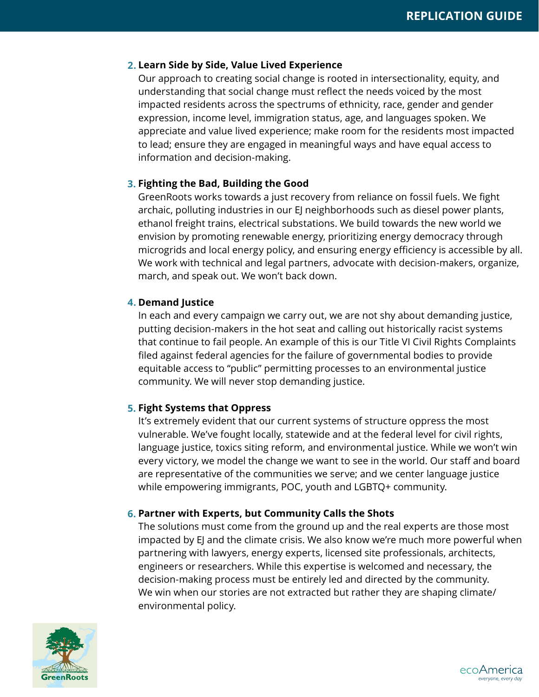## **Learn Side by Side, Value Lived Experience 2.**

Our approach to creating social change is rooted in intersectionality, equity, and understanding that social change must reflect the needs voiced by the most impacted residents across the spectrums of ethnicity, race, gender and gender expression, income level, immigration status, age, and languages spoken. We appreciate and value lived experience; make room for the residents most impacted to lead; ensure they are engaged in meaningful ways and have equal access to information and decision-making.

# **Fighting the Bad, Building the Good 3.**

GreenRoots works towards a just recovery from reliance on fossil fuels. We fight archaic, polluting industries in our EJ neighborhoods such as diesel power plants, ethanol freight trains, electrical substations. We build towards the new world we envision by promoting renewable energy, prioritizing energy democracy through microgrids and local energy policy, and ensuring energy efficiency is accessible by all. We work with technical and legal partners, advocate with decision-makers, organize, march, and speak out. We won't back down.

# **Demand Justice 4.**

In each and every campaign we carry out, we are not shy about demanding justice, putting decision-makers in the hot seat and calling out historically racist systems that continue to fail people. An example of this is our Title VI Civil Rights Complaints filed against federal agencies for the failure of governmental bodies to provide equitable access to "public" permitting processes to an environmental justice community. We will never stop demanding justice.

# **Fight Systems that Oppress 5.**

It's extremely evident that our current systems of structure oppress the most vulnerable. We've fought locally, statewide and at the federal level for civil rights, language justice, toxics siting reform, and environmental justice. While we won't win every victory, we model the change we want to see in the world. Our staff and board are representative of the communities we serve; and we center language justice while empowering immigrants, POC, youth and LGBTQ+ community.

# **Partner with Experts, but Community Calls the Shots 6.**

The solutions must come from the ground up and the real experts are those most impacted by EJ and the climate crisis. We also know we're much more powerful when partnering with lawyers, energy experts, licensed site professionals, architects, engineers or researchers. While this expertise is welcomed and necessary, the decision-making process must be entirely led and directed by the community. We win when our stories are not extracted but rather they are shaping climate/ environmental policy.